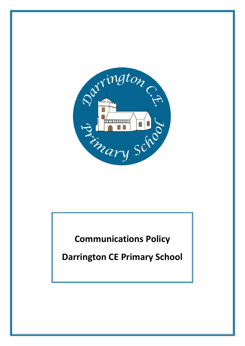

**Communications Policy**

**Darrington CE Primary School**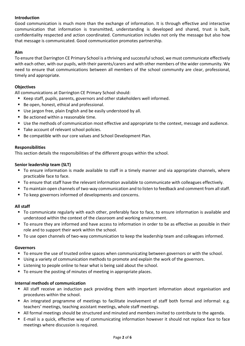# **Introduction**

Good communication is much more than the exchange of information. It is through effective and interactive communication that information is transmitted, understanding is developed and shared, trust is built, confidentiality respected and action coordinated. Communication includes not only the message but also how that message is communicated. Good communication promotes partnership.

### **Aim**

To ensure that Darrington CE Primary School is a thriving and successful school, we must communicate effectively with each other, with our pupils, with their parents/carers and with other members of the wider community. We need to ensure that communications between all members of the school community are clear, professional, timely and appropriate.

## **Objectives**

All communications at Darrington CE Primary School should:

- Keep staff, pupils, parents, governors and other stakeholders well informed.
- Be open, honest, ethical and professional.
- Use jargon free, plain English and be easily understood by all.
- Be actioned within a reasonable time.
- Use the methods of communication most effective and appropriate to the context, message and audience.
- Take account of relevant school policies.
- Be compatible with our core values and School Development Plan.

## **Responsibilities**

This section details the responsibilities of the different groups within the school.

## **Senior leadership team (SLT)**

- To ensure information is made available to staff in a timely manner and via appropriate channels, where practicable face to face.
- To ensure that staff have the relevant information available to communicate with colleagues effectively.
- To maintain open channels of two-way communication and to listen to feedback and comment from all staff.
- To keep governors informed of developments and concerns.

## **All staff**

- To communicate regularly with each other, preferably face to face, to ensure information is available and understood within the context of the classroom and working environment.
- To ensure they are informed and have access to information in order to be as effective as possible in their role and to support their work within the school.
- To use open channels of two-way communication to keep the leadership team and colleagues informed.

## **Governors**

- To ensure the use of trusted online spaces when communicating between governors or with the school.
- Using a variety of communication methods to promote and explain the work of the governors.
- **EXTER** Listening to people online to hear what is being said about the school.
- To ensure the posting of minutes of meeting in appropriate places.

## **Internal methods of communication**

- All staff receive an induction pack providing them with important information about organisation and procedures within the school.
- An integrated programme of meetings to facilitate involvement of staff both formal and informal: e.g. teachers' meetings, teaching assistant meetings, whole staff meetings.
- All formal meetings should be structured and minuted and members invited to contribute to the agenda.
- E-mail is a quick, effective way of communicating information however it should not replace face to face meetings where discussion is required.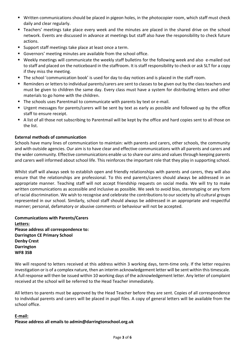- Written communications should be placed in pigeon holes, in the photocopier room, which staff must check daily and clear regularly.
- Teachers' meetings take place every week and the minutes are placed in the shared drive on the school network. Events are discussed in advance at meetings but staff also have the responsibility to check future actions.
- **Support staff meetings take place at least once a term.**
- Governors' meeting minutes are available from the school office.
- Weekly meetings will communicate the weekly staff bulletins for the following week and also e-mailed out to staff and placed on the noticeboard in the staffroom. It is staff responsibility to check or ask SLT for a copy if they miss the meeting.
- The school 'communication book' is used for day to day notices and is placed in the staff room.
- Reminders or letters to individual parents/carers are sent to classes to be given out by the class teachers and must be given to children the same day. Every class must have a system for distributing letters and other materials to go home with the children.
- The schools uses Parentmail to communicate with parents by text or e-mail.
- Urgent messages for parents/carers will be sent by text as early as possible and followed up by the office staff to ensure receipt.
- A list of all those not subscribing to Parentmail will be kept by the office and hard copies sent to all those on the list.

## **External methods of communication**

Schools have many lines of communication to maintain: with parents and carers, other schools, the community and with outside agencies. Our aim is to have clear and effective communications with all parents and carers and the wider community. Effective communications enable us to share our aims and values through keeping parents and carers well informed about school life. This reinforces the important role that they play in supporting school.

Whilst staff will always seek to establish open and friendly relationships with parents and carers, they will also ensure that the relationships are professional. To this end parents/carers should always be addressed in an appropriate manner. Teaching staff will not accept friendship requests on social media. We will try to make written communications as accessible and inclusive as possible. We seek to avoid bias, stereotyping or any form of racial discrimination. We wish to recognise and celebrate the contributions to our society by all cultural groups represented in our school. Similarly, school staff should always be addressed in an appropriate and respectful manner; personal, defamatory or abusive comments or behaviour will not be accepted.

**Communications with Parents/Carers Letters: Please address all correspondence to: Darrington CE Primary School Denby Crest Darrington WF8 3SB**

We will respond to letters received at this address within 3 working days, term-time only. If the letter requires investigation or is of a complex nature, then an interim acknowledgement letter will be sent within this timescale. A full response will then be issued within 10 working days of the acknowledgement letter. Any letter of complaint received at the school will be referred to the Head Teacher immediately.

All letters to parents must be approved by the Head Teacher before they are sent. Copies of all correspondence to individual parents and carers will be placed in pupil files. A copy of general letters will be available from the school office.

# **E-mail: Please address all emails to admin@darringtonschool.org.uk**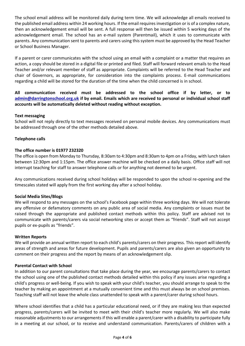The school email address will be monitored daily during term time. We will acknowledge all emails received to the published email address within 24 working hours. If the email requires investigation or is of a complex nature, then an acknowledgement email will be sent. A full response will then be issued within 5 working days of the acknowledgement email. The school has an e-mail system (Parentmail), which it uses to communicate with parents. Any communication sent to parents and carers using this system must be approved by the Head Teacher or School Business Manager.

If a parent or carer communicates with the school using an email with a complaint or a matter that requires an action, a copy should be stored in a digital file or printed and filed. Staff will forward relevant emails to the Head Teacher and/or relevant member of staff as appropriate. Complaints will be referred to the Head Teacher and chair of Governors, as appropriate, for consideration into the complaints process. E-mail communications regarding a child will be stored for the duration of the time when the child concerned is in school.

**All communication received must be addressed to the school office if by letter, or to [admin@darringtonschool.org.uk](mailto:admin@darringtonschool.org.uk) if by email. Emails which are received to personal or individual school staff accounts will be automatically deleted without reading without exception.**

## **Text messaging**

School will not reply directly to text messages received on personal mobile devices. Any communications must be addressed through one of the other methods detailed above.

### **Telephone calls**

### **The office number is 01977 232320**

The office is open from Monday to Thursday, 8:30am to 4:30pm and 8:30am to 4pm on a Friday, with lunch taken between 12:30pm and 1:15pm. The office answer machine will be checked on a daily basis. Office staff will not interrupt teaching for staff to answer telephone calls or for anything not deemed to be urgent.

Any communications received during school holidays will be responded to upon the school re-opening and the timescales stated will apply from the first working day after a school holiday.

### **Social Media Sites/Blogs**

We will respond to any messages on the school's Facebook page within three working days. We will not tolerate any offensive or defamatory comments on any public area of social media. Any complaints or issues must be raised through the appropriate and published contact methods within this policy. Staff are advised not to communicate with parents/carers via social networking sites or accept them as "friends". Staff will not accept pupils or ex-pupils as "friends".

### **Written Reports**

We will provide an annual written report to each child's parents/carers on their progress. This report will identify areas of strength and areas for future development. Pupils and parents/carers are also given an opportunity to comment on their progress and the report by means of an acknowledgement slip.

### **Parental Contact with School**

In addition to our parent consultations that take place during the year, we encourage parents/carers to contact the school using one of the published contact methods detailed within this policy if any issues arise regarding a child's progress or well-being. If you wish to speak with your child's teacher, you should arrange to speak to the teacher by making an appointment at a mutually convenient time and this must always be on school premises. Teaching staff will not leave the whole class unattended to speak with a parent/carer during school hours.

Where school identifies that a child has a particular educational need, or if they are making less than expected progress, parents/carers will be invited to meet with their child's teacher more regularly. We will also make reasonable adjustments to our arrangements if this will enable a parent/carer with a disability to participate fully in a meeting at our school, or to receive and understand communication. Parents/carers of children with a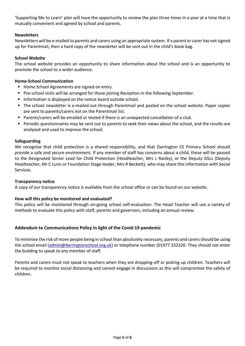'Supporting Me to Learn' plan will have the opportunity to review the plan three times in a year at a time that is mutually convenient and agreed by school and parents.

## **Newsletters**

Newsletters will be e-mailed to parents and carers using an appropriate system. If a parent or carer has not signed up for Parentmail, then a hard copy of the newsletter will be sent out in the child's book bag.

## **School Website**

The school website provides an opportunity to share information about the school and is an opportunity to promote the school to a wider audience.

# **Home-School Communication**

- Home School Agreements are signed on entry.
- Pre-school visits will be arranged for those joining Reception in the following September.
- **Information is displayed on the notice board outside school.**
- The school newsletter is e-mailed out through Parentmail and posted on the school website. Paper copies are sent to parents/carers not on the Parentmail list.
- Parents/carers will be emailed or texted if there is an unexpected cancellation of a club.
- Periodic questionnaires may be sent out to parents to seek their views about the school, and the results are analysed and used to improve the school.

## **Safeguarding**

We recognise that child protection is a shared responsibility, and that Darrington CE Primary School should provide a safe and secure environment. If any member of staff has concerns about a child, these will be passed to the Designated Senior Lead for Child Protection (Headteacher, Mrs L Ranby), or the Deputy DSLs (Deputy Headteacher, Mr C Lunn or Foundation Stage leader, Mrs R Beckett), who may share this information with Social Services.

## **Transparency notice**

A copy of our transparency notice is available from the school office or can be found on our website.

## **How will this policy be monitored and evaluated?**

This policy will be monitored through on-going school self-evaluation. The Head Teacher will use a variety of methods to evaluate this policy with staff, parents and governors, including an annual review.

# **Addendum to Communications Policy in light of the Covid-19 pandemic**

To minimise the risk of more people being in school than absolutely necessary, parents and carersshould be using the school email [\(admin@darringtonschool.org.uk\)](mailto:admin@darringtonschool.org.uk) or telephone number (01977 232320. They should not enter the building to speak to any member of staff.

Parents and carers must not speak to teachers when they are dropping-off or picking-up children. Teachers will be required to monitor social distancing and cannot engage in discussions as this will compromise the safety of children.